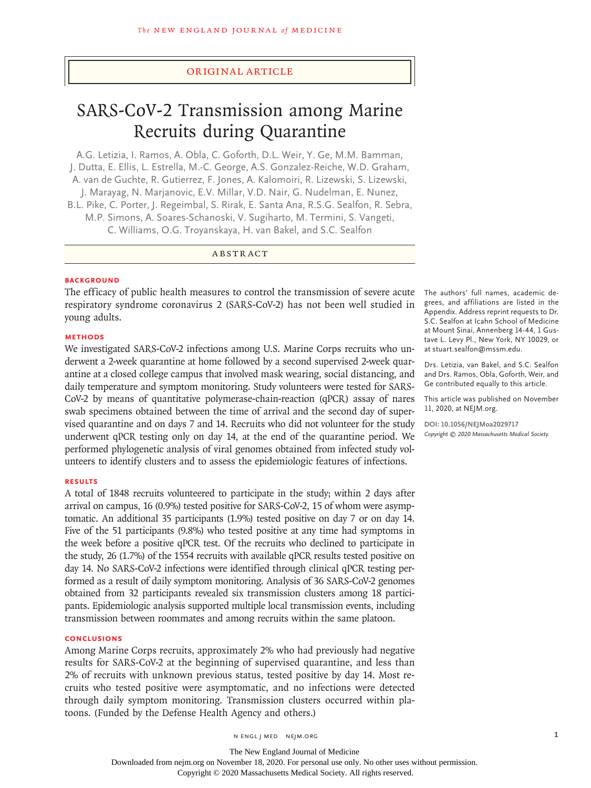# Original Article

# SARS-CoV-2 Transmission among Marine Recruits during Quarantine

A.G. Letizia, I. Ramos, A. Obla, C. Goforth, D.L. Weir, Y. Ge, M.M. Bamman, J. Dutta, E. Ellis, L. Estrella, M.-C. George, A.S. Gonzalez-Reiche, W.D. Graham, A. van de Guchte, R. Gutierrez, F. Jones, A. Kalomoiri, R. Lizewski, S. Lizewski, J. Marayag, N. Marjanovic, E.V. Millar, V.D. Nair, G. Nudelman, E. Nunez, B.L. Pike, C. Porter, J. Regeimbal, S. Rirak, E. Santa Ana, R.S.G. Sealfon, R. Sebra, M.P. Simons, A. Soares-Schanoski, V. Sugiharto, M. Termini, S. Vangeti, C. Williams, O.G. Troyanskaya, H. van Bakel, and S.C. Sealfon

# ABSTRACT

#### **BACKGROUND**

The efficacy of public health measures to control the transmission of severe acute respiratory syndrome coronavirus 2 (SARS-CoV-2) has not been well studied in young adults.

## **METHODS**

We investigated SARS-CoV-2 infections among U.S. Marine Corps recruits who underwent a 2-week quarantine at home followed by a second supervised 2-week quarantine at a closed college campus that involved mask wearing, social distancing, and daily temperature and symptom monitoring. Study volunteers were tested for SARS-CoV-2 by means of quantitative polymerase-chain-reaction (qPCR) assay of nares swab specimens obtained between the time of arrival and the second day of supervised quarantine and on days 7 and 14. Recruits who did not volunteer for the study underwent qPCR testing only on day 14, at the end of the quarantine period. We performed phylogenetic analysis of viral genomes obtained from infected study volunteers to identify clusters and to assess the epidemiologic features of infections.

#### **RESULTS**

A total of 1848 recruits volunteered to participate in the study; within 2 days after arrival on campus, 16 (0.9%) tested positive for SARS-CoV-2, 15 of whom were asymptomatic. An additional 35 participants (1.9%) tested positive on day 7 or on day 14. Five of the 51 participants (9.8%) who tested positive at any time had symptoms in the week before a positive qPCR test. Of the recruits who declined to participate in the study, 26 (1.7%) of the 1554 recruits with available qPCR results tested positive on day 14. No SARS-CoV-2 infections were identified through clinical qPCR testing performed as a result of daily symptom monitoring. Analysis of 36 SARS-CoV-2 genomes obtained from 32 participants revealed six transmission clusters among 18 participants. Epidemiologic analysis supported multiple local transmission events, including transmission between roommates and among recruits within the same platoon.

#### **CONCLUSIONS**

Among Marine Corps recruits, approximately 2% who had previously had negative results for SARS-CoV-2 at the beginning of supervised quarantine, and less than 2% of recruits with unknown previous status, tested positive by day 14. Most recruits who tested positive were asymptomatic, and no infections were detected through daily symptom monitoring. Transmission clusters occurred within platoons. (Funded by the Defense Health Agency and others.)

The authors' full names, academic degrees, and affiliations are listed in the Appendix. Address reprint requests to Dr. S.C. Sealfon at Icahn School of Medicine at Mount Sinai, Annenberg 14-44, 1 Gustave L. Levy Pl., New York, NY 10029, or at stuart.sealfon@mssm.edu.

Drs. Letizia, van Bakel, and S.C. Sealfon and Drs. Ramos, Obla, Goforth, Weir, and Ge contributed equally to this article.

This article was published on November 11, 2020, at NEJM.org.

**DOI: 10.1056/NEJMoa2029717** *Copyright © 2020 Massachusetts Medical Society.*

The New England Journal of Medicine Downloaded from nejm.org on November 18, 2020. For personal use only. No other uses without permission.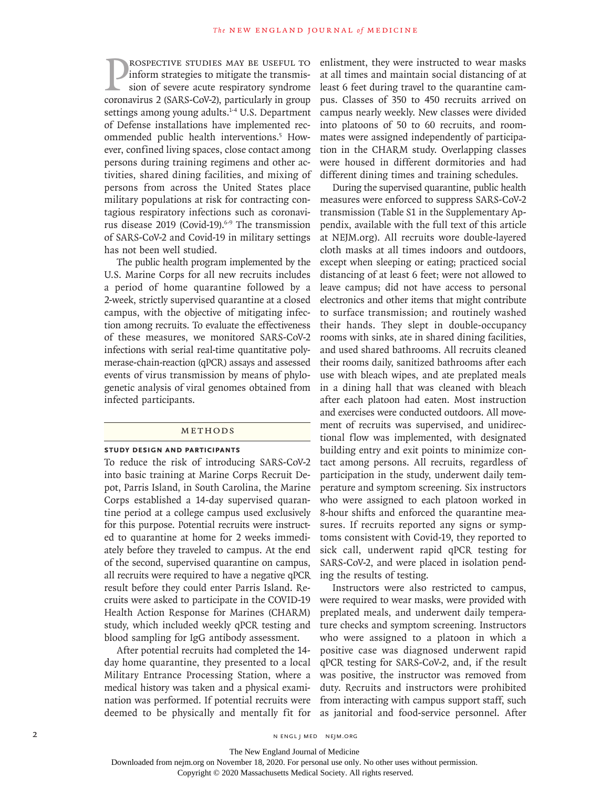**EXECUTE STUDIES MAY BE USEFUL TO**<br>inform strategies to mitigate the transmis-<br>sion of severe acute respiratory syndrome<br>coronavirus 2 (SARS-CoV-2), particularly in group rospective studies may be useful to inform strategies to mitigate the transmission of severe acute respiratory syndrome settings among young adults.<sup>1-4</sup> U.S. Department of Defense installations have implemented recommended public health interventions.<sup>5</sup> However, confined living spaces, close contact among persons during training regimens and other activities, shared dining facilities, and mixing of persons from across the United States place military populations at risk for contracting contagious respiratory infections such as coronavirus disease 2019 (Covid-19).<sup>6-9</sup> The transmission of SARS-CoV-2 and Covid-19 in military settings has not been well studied.

The public health program implemented by the U.S. Marine Corps for all new recruits includes a period of home quarantine followed by a 2-week, strictly supervised quarantine at a closed campus, with the objective of mitigating infection among recruits. To evaluate the effectiveness of these measures, we monitored SARS-CoV-2 infections with serial real-time quantitative polymerase-chain-reaction (qPCR) assays and assessed events of virus transmission by means of phylogenetic analysis of viral genomes obtained from infected participants.

#### METHODS

#### **Study Design and Participants**

To reduce the risk of introducing SARS-CoV-2 into basic training at Marine Corps Recruit Depot, Parris Island, in South Carolina, the Marine Corps established a 14-day supervised quarantine period at a college campus used exclusively for this purpose. Potential recruits were instructed to quarantine at home for 2 weeks immediately before they traveled to campus. At the end of the second, supervised quarantine on campus, all recruits were required to have a negative qPCR result before they could enter Parris Island. Recruits were asked to participate in the COVID-19 Health Action Response for Marines (CHARM) study, which included weekly qPCR testing and blood sampling for IgG antibody assessment.

After potential recruits had completed the 14 day home quarantine, they presented to a local Military Entrance Processing Station, where a medical history was taken and a physical examination was performed. If potential recruits were deemed to be physically and mentally fit for enlistment, they were instructed to wear masks at all times and maintain social distancing of at least 6 feet during travel to the quarantine campus. Classes of 350 to 450 recruits arrived on campus nearly weekly. New classes were divided into platoons of 50 to 60 recruits, and roommates were assigned independently of participation in the CHARM study. Overlapping classes were housed in different dormitories and had different dining times and training schedules.

During the supervised quarantine, public health measures were enforced to suppress SARS-CoV-2 transmission (Table S1 in the Supplementary Appendix, available with the full text of this article at NEJM.org). All recruits wore double-layered cloth masks at all times indoors and outdoors, except when sleeping or eating; practiced social distancing of at least 6 feet; were not allowed to leave campus; did not have access to personal electronics and other items that might contribute to surface transmission; and routinely washed their hands. They slept in double-occupancy rooms with sinks, ate in shared dining facilities, and used shared bathrooms. All recruits cleaned their rooms daily, sanitized bathrooms after each use with bleach wipes, and ate preplated meals in a dining hall that was cleaned with bleach after each platoon had eaten. Most instruction and exercises were conducted outdoors. All movement of recruits was supervised, and unidirectional flow was implemented, with designated building entry and exit points to minimize contact among persons. All recruits, regardless of participation in the study, underwent daily temperature and symptom screening. Six instructors who were assigned to each platoon worked in 8-hour shifts and enforced the quarantine measures. If recruits reported any signs or symptoms consistent with Covid-19, they reported to sick call, underwent rapid qPCR testing for SARS-CoV-2, and were placed in isolation pending the results of testing.

Instructors were also restricted to campus, were required to wear masks, were provided with preplated meals, and underwent daily temperature checks and symptom screening. Instructors who were assigned to a platoon in which a positive case was diagnosed underwent rapid qPCR testing for SARS-CoV-2, and, if the result was positive, the instructor was removed from duty. Recruits and instructors were prohibited from interacting with campus support staff, such as janitorial and food-service personnel. After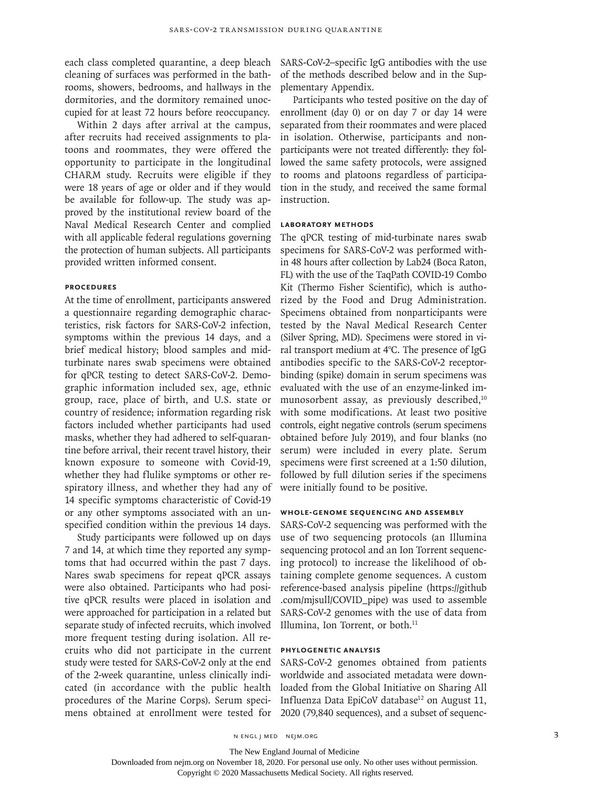each class completed quarantine, a deep bleach cleaning of surfaces was performed in the bathrooms, showers, bedrooms, and hallways in the dormitories, and the dormitory remained unoccupied for at least 72 hours before reoccupancy.

Within 2 days after arrival at the campus, after recruits had received assignments to platoons and roommates, they were offered the opportunity to participate in the longitudinal CHARM study. Recruits were eligible if they were 18 years of age or older and if they would be available for follow-up. The study was approved by the institutional review board of the Naval Medical Research Center and complied with all applicable federal regulations governing the protection of human subjects. All participants provided written informed consent.

# **Procedures**

At the time of enrollment, participants answered a questionnaire regarding demographic characteristics, risk factors for SARS-CoV-2 infection, symptoms within the previous 14 days, and a brief medical history; blood samples and midturbinate nares swab specimens were obtained for qPCR testing to detect SARS-CoV-2. Demographic information included sex, age, ethnic group, race, place of birth, and U.S. state or country of residence; information regarding risk factors included whether participants had used masks, whether they had adhered to self-quarantine before arrival, their recent travel history, their known exposure to someone with Covid-19, whether they had flulike symptoms or other respiratory illness, and whether they had any of 14 specific symptoms characteristic of Covid-19 or any other symptoms associated with an unspecified condition within the previous 14 days.

Study participants were followed up on days 7 and 14, at which time they reported any symptoms that had occurred within the past 7 days. Nares swab specimens for repeat qPCR assays were also obtained. Participants who had positive qPCR results were placed in isolation and were approached for participation in a related but separate study of infected recruits, which involved more frequent testing during isolation. All recruits who did not participate in the current study were tested for SARS-CoV-2 only at the end of the 2-week quarantine, unless clinically indicated (in accordance with the public health procedures of the Marine Corps). Serum specimens obtained at enrollment were tested for SARS-CoV-2–specific IgG antibodies with the use of the methods described below and in the Supplementary Appendix.

Participants who tested positive on the day of enrollment (day 0) or on day 7 or day 14 were separated from their roommates and were placed in isolation. Otherwise, participants and nonparticipants were not treated differently: they followed the same safety protocols, were assigned to rooms and platoons regardless of participation in the study, and received the same formal instruction.

## **Laboratory Methods**

The qPCR testing of mid-turbinate nares swab specimens for SARS-CoV-2 was performed within 48 hours after collection by Lab24 (Boca Raton, FL) with the use of the TaqPath COVID-19 Combo Kit (Thermo Fisher Scientific), which is authorized by the Food and Drug Administration. Specimens obtained from nonparticipants were tested by the Naval Medical Research Center (Silver Spring, MD). Specimens were stored in viral transport medium at 4°C. The presence of IgG antibodies specific to the SARS-CoV-2 receptorbinding (spike) domain in serum specimens was evaluated with the use of an enzyme-linked immunosorbent assay, as previously described,<sup>10</sup> with some modifications. At least two positive controls, eight negative controls (serum specimens obtained before July 2019), and four blanks (no serum) were included in every plate. Serum specimens were first screened at a 1:50 dilution, followed by full dilution series if the specimens were initially found to be positive.

## **Whole-Genome Sequencing and Assembly**

SARS-CoV-2 sequencing was performed with the use of two sequencing protocols (an Illumina sequencing protocol and an Ion Torrent sequencing protocol) to increase the likelihood of obtaining complete genome sequences. A custom reference-based analysis pipeline (https://github .com/mjsull/COVID\_pipe) was used to assemble SARS-CoV-2 genomes with the use of data from Illumina, Ion Torrent, or both.<sup>11</sup>

# **Phylogenetic Analysis**

SARS-CoV-2 genomes obtained from patients worldwide and associated metadata were downloaded from the Global Initiative on Sharing All Influenza Data EpiCoV database<sup>12</sup> on August 11, 2020 (79,840 sequences), and a subset of sequenc-

The New England Journal of Medicine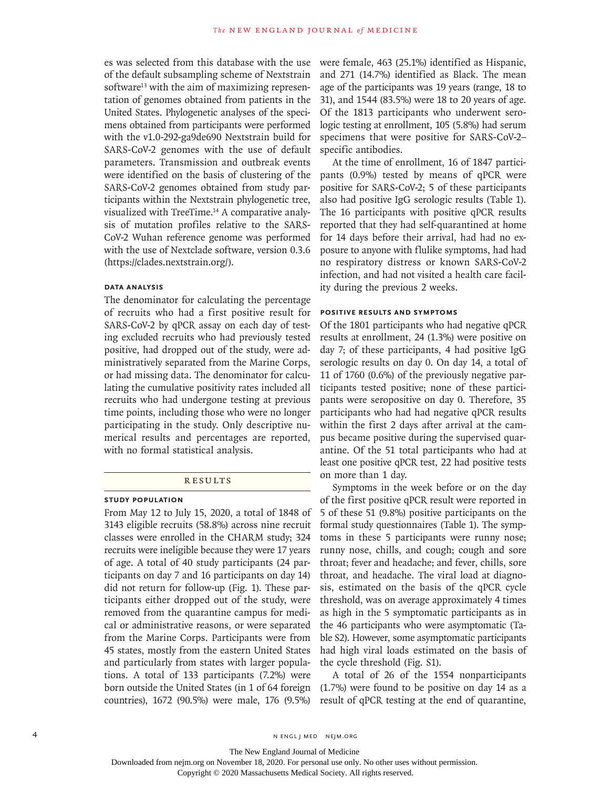es was selected from this database with the use of the default subsampling scheme of Nextstrain software<sup>13</sup> with the aim of maximizing representation of genomes obtained from patients in the United States. Phylogenetic analyses of the specimens obtained from participants were performed with the v1.0-292-ga9de690 Nextstrain build for SARS-CoV-2 genomes with the use of default parameters. Transmission and outbreak events were identified on the basis of clustering of the SARS-CoV-2 genomes obtained from study participants within the Nextstrain phylogenetic tree, visualized with TreeTime.14 A comparative analysis of mutation profiles relative to the SARS-CoV-2 Wuhan reference genome was performed with the use of Nextclade software, version 0.3.6 (https://clades.nextstrain.org/).

## **Data Analysis**

The denominator for calculating the percentage of recruits who had a first positive result for SARS-CoV-2 by qPCR assay on each day of testing excluded recruits who had previously tested positive, had dropped out of the study, were administratively separated from the Marine Corps, or had missing data. The denominator for calculating the cumulative positivity rates included all recruits who had undergone testing at previous time points, including those who were no longer participating in the study. Only descriptive numerical results and percentages are reported, with no formal statistical analysis.

### **RESULTS**

## **Study Population**

From May 12 to July 15, 2020, a total of 1848 of 3143 eligible recruits (58.8%) across nine recruit classes were enrolled in the CHARM study; 324 recruits were ineligible because they were 17 years of age. A total of 40 study participants (24 participants on day 7 and 16 participants on day 14) did not return for follow-up (Fig. 1). These participants either dropped out of the study, were removed from the quarantine campus for medical or administrative reasons, or were separated from the Marine Corps. Participants were from 45 states, mostly from the eastern United States and particularly from states with larger populations. A total of 133 participants (7.2%) were born outside the United States (in 1 of 64 foreign countries), 1672 (90.5%) were male, 176 (9.5%)

were female, 463 (25.1%) identified as Hispanic, and 271 (14.7%) identified as Black. The mean age of the participants was 19 years (range, 18 to 31), and 1544 (83.5%) were 18 to 20 years of age. Of the 1813 participants who underwent serologic testing at enrollment, 105 (5.8%) had serum specimens that were positive for SARS-CoV-2– specific antibodies.

At the time of enrollment, 16 of 1847 participants (0.9%) tested by means of qPCR were positive for SARS-CoV-2; 5 of these participants also had positive IgG serologic results (Table 1). The 16 participants with positive qPCR results reported that they had self-quarantined at home for 14 days before their arrival, had had no exposure to anyone with flulike symptoms, had had no respiratory distress or known SARS-CoV-2 infection, and had not visited a health care facility during the previous 2 weeks.

# **Positive Results and Symptoms**

Of the 1801 participants who had negative qPCR results at enrollment, 24 (1.3%) were positive on day 7; of these participants, 4 had positive IgG serologic results on day 0. On day 14, a total of 11 of 1760 (0.6%) of the previously negative participants tested positive; none of these participants were seropositive on day 0. Therefore, 35 participants who had had negative qPCR results within the first 2 days after arrival at the campus became positive during the supervised quarantine. Of the 51 total participants who had at least one positive qPCR test, 22 had positive tests on more than 1 day.

Symptoms in the week before or on the day of the first positive qPCR result were reported in 5 of these 51 (9.8%) positive participants on the formal study questionnaires (Table 1). The symptoms in these 5 participants were runny nose; runny nose, chills, and cough; cough and sore throat; fever and headache; and fever, chills, sore throat, and headache. The viral load at diagnosis, estimated on the basis of the qPCR cycle threshold, was on average approximately 4 times as high in the 5 symptomatic participants as in the 46 participants who were asymptomatic (Table S2). However, some asymptomatic participants had high viral loads estimated on the basis of the cycle threshold (Fig. S1).

A total of 26 of the 1554 nonparticipants (1.7%) were found to be positive on day 14 as a result of qPCR testing at the end of quarantine,

The New England Journal of Medicine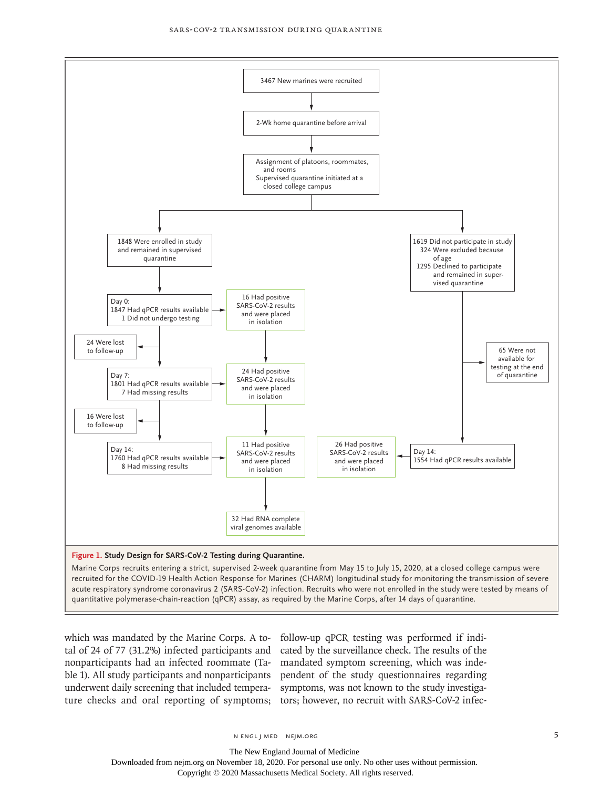

recruited for the COVID-19 Health Action Response for Marines (CHARM) longitudinal study for monitoring the transmission of severe acute respiratory syndrome coronavirus 2 (SARS-CoV-2) infection. Recruits who were not enrolled in the study were tested by means of quantitative polymerase-chain-reaction (qPCR) assay, as required by the Marine Corps, after 14 days of quarantine.

which was mandated by the Marine Corps. A total of 24 of 77 (31.2%) infected participants and nonparticipants had an infected roommate (Table 1). All study participants and nonparticipants pendent of the study questionnaires regarding underwent daily screening that included temperature checks and oral reporting of symptoms; tors; however, no recruit with SARS-CoV-2 infec-

follow-up qPCR testing was performed if indicated by the surveillance check. The results of the mandated symptom screening, which was indesymptoms, was not known to the study investiga-

The New England Journal of Medicine Downloaded from nejm.org on November 18, 2020. For personal use only. No other uses without permission.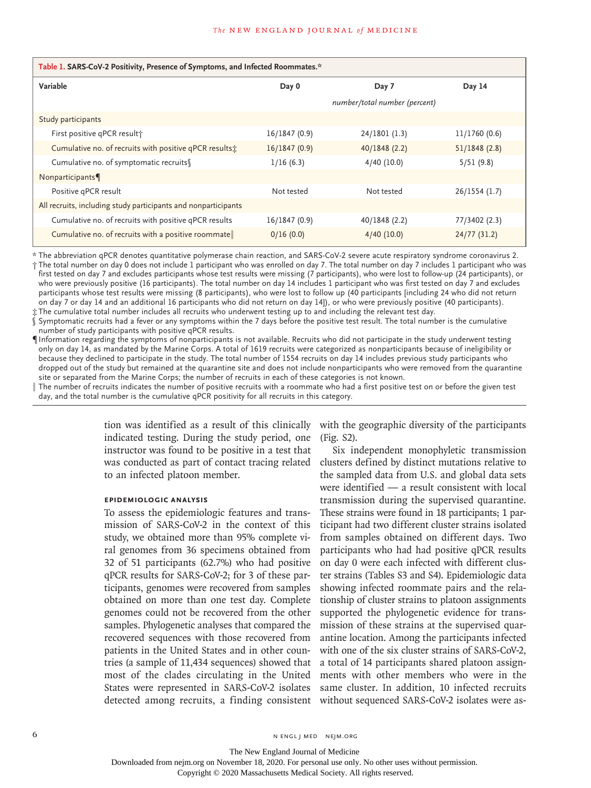| Table 1. SARS-CoV-2 Positivity, Presence of Symptoms, and Infected Roommates.* |                               |               |               |  |  |
|--------------------------------------------------------------------------------|-------------------------------|---------------|---------------|--|--|
| Variable                                                                       | Day 0                         | Day 7         | Day 14        |  |  |
|                                                                                | number/total number (percent) |               |               |  |  |
| Study participants                                                             |                               |               |               |  |  |
| First positive qPCR result+                                                    | 16/1847 (0.9)                 | 24/1801 (1.3) | 11/1760 (0.6) |  |  |
| Cumulative no. of recruits with positive qPCR results#                         | 16/1847(0.9)                  | 40/1848(2.2)  | 51/1848(2.8)  |  |  |
| Cumulative no. of symptomatic recruits                                         | 1/16(6.3)                     | 4/40(10.0)    | 5/51(9.8)     |  |  |
| Nonparticipants                                                                |                               |               |               |  |  |
| Positive qPCR result                                                           | Not tested                    | Not tested    | 26/1554 (1.7) |  |  |
| All recruits, including study participants and nonparticipants                 |                               |               |               |  |  |
| Cumulative no. of recruits with positive qPCR results                          | 16/1847 (0.9)                 | 40/1848 (2.2) | 77/3402 (2.3) |  |  |
| Cumulative no. of recruits with a positive roommate                            | 0/16(0.0)                     | 4/40(10.0)    | 24/77(31.2)   |  |  |

\* The abbreviation qPCR denotes quantitative polymerase chain reaction, and SARS-CoV-2 severe acute respiratory syndrome coronavirus 2.

† The total number on day 0 does not include 1 participant who was enrolled on day 7. The total number on day 7 includes 1 participant who was first tested on day 7 and excludes participants whose test results were missing (7 participants), who were lost to follow-up (24 participants), or who were previously positive (16 participants). The total number on day 14 includes 1 participant who was first tested on day 7 and excludes participants whose test results were missing (8 participants), who were lost to follow up (40 participants [including 24 who did not return on day 7 or day 14 and an additional 16 participants who did not return on day 14]), or who were previously positive (40 participants).

‡ The cumulative total number includes all recruits who underwent testing up to and including the relevant test day.

§ Symptomatic recruits had a fever or any symptoms within the 7 days before the positive test result. The total number is the cumulative number of study participants with positive qPCR results.

¶ Information regarding the symptoms of nonparticipants is not available. Recruits who did not participate in the study underwent testing only on day 14, as mandated by the Marine Corps. A total of 1619 recruits were categorized as nonparticipants because of ineligibility or because they declined to participate in the study. The total number of 1554 recruits on day 14 includes previous study participants who dropped out of the study but remained at the quarantine site and does not include nonparticipants who were removed from the quarantine site or separated from the Marine Corps; the number of recruits in each of these categories is not known.

The number of recruits indicates the number of positive recruits with a roommate who had a first positive test on or before the given test day, and the total number is the cumulative qPCR positivity for all recruits in this category.

> tion was identified as a result of this clinically indicated testing. During the study period, one instructor was found to be positive in a test that was conducted as part of contact tracing related to an infected platoon member.

## **Epidemiologic Analysis**

To assess the epidemiologic features and transmission of SARS-CoV-2 in the context of this study, we obtained more than 95% complete viral genomes from 36 specimens obtained from 32 of 51 participants (62.7%) who had positive qPCR results for SARS-CoV-2; for 3 of these participants, genomes were recovered from samples obtained on more than one test day. Complete genomes could not be recovered from the other samples. Phylogenetic analyses that compared the recovered sequences with those recovered from patients in the United States and in other countries (a sample of 11,434 sequences) showed that most of the clades circulating in the United States were represented in SARS-CoV-2 isolates

with the geographic diversity of the participants (Fig. S2).

detected among recruits, a finding consistent without sequenced SARS-CoV-2 isolates were as-Six independent monophyletic transmission clusters defined by distinct mutations relative to the sampled data from U.S. and global data sets were identified — a result consistent with local transmission during the supervised quarantine. These strains were found in 18 participants; 1 participant had two different cluster strains isolated from samples obtained on different days. Two participants who had had positive qPCR results on day 0 were each infected with different cluster strains (Tables S3 and S4). Epidemiologic data showing infected roommate pairs and the relationship of cluster strains to platoon assignments supported the phylogenetic evidence for transmission of these strains at the supervised quarantine location. Among the participants infected with one of the six cluster strains of SARS-CoV-2, a total of 14 participants shared platoon assignments with other members who were in the same cluster. In addition, 10 infected recruits

The New England Journal of Medicine Downloaded from nejm.org on November 18, 2020. For personal use only. No other uses without permission.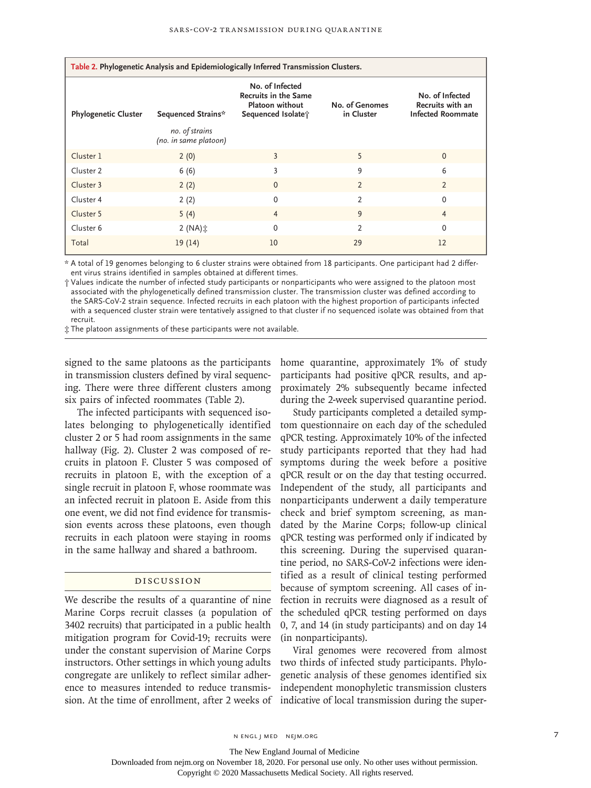| Table 2. Phylogenetic Analysis and Epidemiologically Inferred Transmission Clusters. |                                                               |                                                                                                |                              |                                                                 |  |
|--------------------------------------------------------------------------------------|---------------------------------------------------------------|------------------------------------------------------------------------------------------------|------------------------------|-----------------------------------------------------------------|--|
| <b>Phylogenetic Cluster</b>                                                          | Sequenced Strains*<br>no. of strains<br>(no. in same platoon) | No. of Infected<br><b>Recruits in the Same</b><br><b>Platoon without</b><br>Sequenced Isolate; | No. of Genomes<br>in Cluster | No. of Infected<br>Recruits with an<br><b>Infected Roommate</b> |  |
| Cluster 1                                                                            | 2(0)                                                          | 3                                                                                              | 5                            | $\Omega$                                                        |  |
| Cluster 2                                                                            | 6(6)                                                          | 3                                                                                              | 9                            | 6                                                               |  |
| Cluster 3                                                                            | 2(2)                                                          | $\Omega$                                                                                       | $\overline{2}$               | $\overline{2}$                                                  |  |
| Cluster 4                                                                            | 2(2)                                                          | $\mathbf 0$                                                                                    | $\overline{2}$               | $\Omega$                                                        |  |
| Cluster 5                                                                            | 5(4)                                                          | 4                                                                                              | 9                            | $\overline{4}$                                                  |  |
| Cluster 6                                                                            | 2 (NA) :                                                      | $\mathbf{0}$                                                                                   | $\overline{2}$               | $\Omega$                                                        |  |
| Total                                                                                | 19(14)                                                        | 10                                                                                             | 29                           | 12                                                              |  |

\* A total of 19 genomes belonging to 6 cluster strains were obtained from 18 participants. One participant had 2 different virus strains identified in samples obtained at different times.

† Values indicate the number of infected study participants or nonparticipants who were assigned to the platoon most associated with the phylogenetically defined transmission cluster. The transmission cluster was defined according to the SARS-CoV-2 strain sequence. Infected recruits in each platoon with the highest proportion of participants infected with a sequenced cluster strain were tentatively assigned to that cluster if no sequenced isolate was obtained from that recruit.

‡ The platoon assignments of these participants were not available.

signed to the same platoons as the participants in transmission clusters defined by viral sequencing. There were three different clusters among six pairs of infected roommates (Table 2).

The infected participants with sequenced isolates belonging to phylogenetically identified cluster 2 or 5 had room assignments in the same hallway (Fig. 2). Cluster 2 was composed of recruits in platoon F. Cluster 5 was composed of recruits in platoon E, with the exception of a single recruit in platoon F, whose roommate was an infected recruit in platoon E. Aside from this one event, we did not find evidence for transmission events across these platoons, even though recruits in each platoon were staying in rooms in the same hallway and shared a bathroom.

## Discussion

We describe the results of a quarantine of nine Marine Corps recruit classes (a population of 3402 recruits) that participated in a public health mitigation program for Covid-19; recruits were under the constant supervision of Marine Corps instructors. Other settings in which young adults congregate are unlikely to reflect similar adherence to measures intended to reduce transmission. At the time of enrollment, after 2 weeks of indicative of local transmission during the super-

home quarantine, approximately 1% of study participants had positive qPCR results, and approximately 2% subsequently became infected during the 2-week supervised quarantine period.

Study participants completed a detailed symptom questionnaire on each day of the scheduled qPCR testing. Approximately 10% of the infected study participants reported that they had had symptoms during the week before a positive qPCR result or on the day that testing occurred. Independent of the study, all participants and nonparticipants underwent a daily temperature check and brief symptom screening, as mandated by the Marine Corps; follow-up clinical qPCR testing was performed only if indicated by this screening. During the supervised quarantine period, no SARS-CoV-2 infections were identified as a result of clinical testing performed because of symptom screening. All cases of infection in recruits were diagnosed as a result of the scheduled qPCR testing performed on days 0, 7, and 14 (in study participants) and on day 14 (in nonparticipants).

Viral genomes were recovered from almost two thirds of infected study participants. Phylogenetic analysis of these genomes identified six independent monophyletic transmission clusters

n engl j med nejm.org 7

The New England Journal of Medicine

Downloaded from nejm.org on November 18, 2020. For personal use only. No other uses without permission.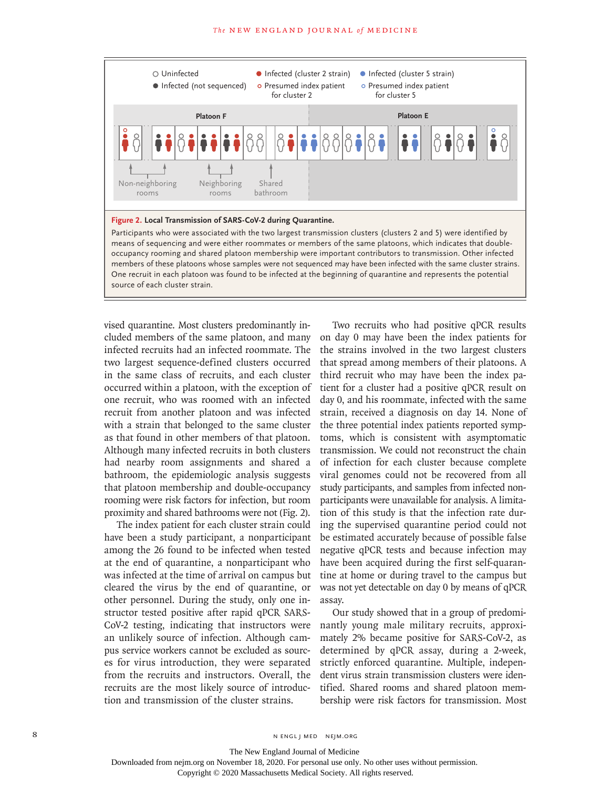#### **The NEW ENGLAND JOURNAL of MEDICINE**



vised quarantine. Most clusters predominantly included members of the same platoon, and many infected recruits had an infected roommate. The two largest sequence-defined clusters occurred in the same class of recruits, and each cluster occurred within a platoon, with the exception of one recruit, who was roomed with an infected recruit from another platoon and was infected with a strain that belonged to the same cluster as that found in other members of that platoon. Although many infected recruits in both clusters had nearby room assignments and shared a bathroom, the epidemiologic analysis suggests that platoon membership and double-occupancy rooming were risk factors for infection, but room proximity and shared bathrooms were not (Fig. 2).

The index patient for each cluster strain could have been a study participant, a nonparticipant among the 26 found to be infected when tested at the end of quarantine, a nonparticipant who was infected at the time of arrival on campus but cleared the virus by the end of quarantine, or other personnel. During the study, only one instructor tested positive after rapid qPCR SARS-CoV-2 testing, indicating that instructors were an unlikely source of infection. Although campus service workers cannot be excluded as sources for virus introduction, they were separated from the recruits and instructors. Overall, the recruits are the most likely source of introduction and transmission of the cluster strains.

Two recruits who had positive qPCR results on day 0 may have been the index patients for the strains involved in the two largest clusters that spread among members of their platoons. A third recruit who may have been the index patient for a cluster had a positive qPCR result on day 0, and his roommate, infected with the same strain, received a diagnosis on day 14. None of the three potential index patients reported symptoms, which is consistent with asymptomatic transmission. We could not reconstruct the chain of infection for each cluster because complete viral genomes could not be recovered from all study participants, and samples from infected nonparticipants were unavailable for analysis. A limitation of this study is that the infection rate during the supervised quarantine period could not be estimated accurately because of possible false negative qPCR tests and because infection may have been acquired during the first self-quarantine at home or during travel to the campus but was not yet detectable on day 0 by means of qPCR assay.

Our study showed that in a group of predominantly young male military recruits, approximately 2% became positive for SARS-CoV-2, as determined by qPCR assay, during a 2-week, strictly enforced quarantine. Multiple, independent virus strain transmission clusters were identified. Shared rooms and shared platoon membership were risk factors for transmission. Most

The New England Journal of Medicine Downloaded from nejm.org on November 18, 2020. For personal use only. No other uses without permission.